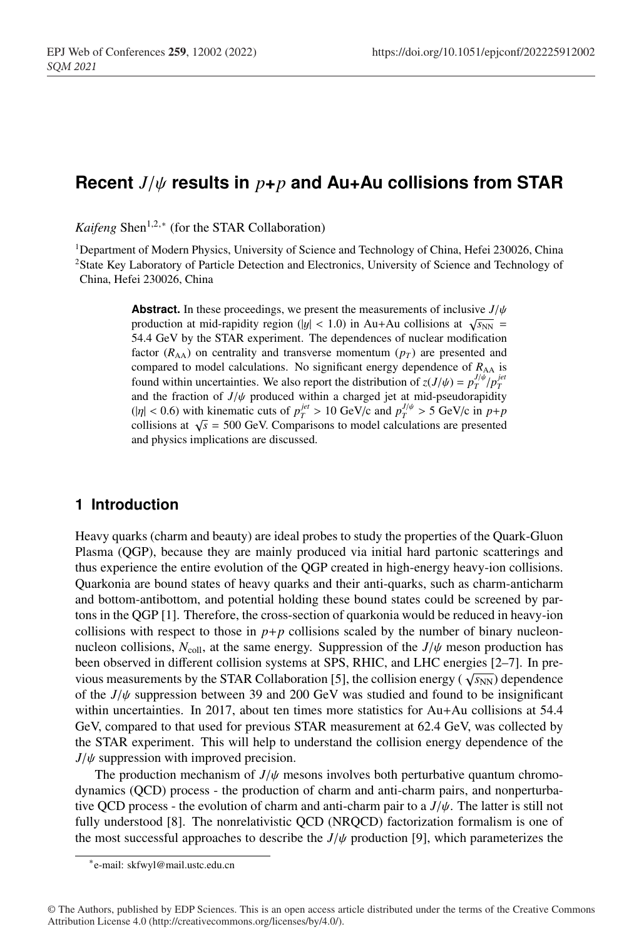# <sup>1</sup> **Recent** *J*/ψ **results in** *p***+***p* **and Au+Au collisions from STAR**

*Kaifeng* Shen<sup>1,2,∗</sup> (for the STAR Collaboration)

<sup>1</sup>Department of Modern Physics, University of Science and Technology of China, Hefei 230026, China <sup>2</sup> State Key Laboratory of Particle Detection and Electronics, University of Science and Technology of <sup>5</sup> China, Hefei 230026, China

**Abstract.** In these proceedings, we present the measurements of inclusive  $J/\psi$ production at mid-rapidity region (|y| < 1.0) in Au+Au collisions at  $\sqrt{s_{NN}}$  = <sup>8</sup> 54.4 GeV by the STAR experiment. The dependences of nuclear modification factor  $(R_{AA})$  on centrality and transverse momentum  $(p_T)$  are presented and compared to model calculations. No significant energy dependence of  $R_{AA}$  is found within uncertainties. We also report the distribution of  $z(J/\psi) = p_T^{J/\psi}/p_T^{jet}$ and the fraction of  $J/\psi$  produced within a charged jet at mid-pseudorapidity  $(|\eta| < 0.6)$  with kinematic cuts of  $p_T^{jet} > 10 \text{ GeV/c}$  and  $p_T^{J/\psi} > 5 \text{ GeV/c}$  in  $p+p$ collisions at  $\sqrt{s}$  = 500 GeV. Comparisons to model calculations are presented and physics implications are discussed.

### <sup>16</sup> **1 Introduction**

<sup>17</sup> Heavy quarks (charm and beauty) are ideal probes to study the properties of the Quark-Gluon <sup>18</sup> Plasma (QGP), because they are mainly produced via initial hard partonic scatterings and <sup>19</sup> thus experience the entire evolution of the QGP created in high-energy heavy-ion collisions. <sup>20</sup> Quarkonia are bound states of heavy quarks and their anti-quarks, such as charm-anticharm <sup>21</sup> and bottom-antibottom, and potential holding these bound states could be screened by par-<sup>22</sup> tons in the QGP [1]. Therefore, the cross-section of quarkonia would be reduced in heavy-ion collisions with respect to those in  $p+p$  collisions scaled by the number of binary nucleonnucleon collisions,  $N_{\text{coll}}$ , at the same energy. Suppression of the  $J/\psi$  meson production has been observed in different collision systems at SPS, RHIC, and LHC energies [2-7]. In previous measurements by the STAR Collaboration [5], the collision energy ( $\sqrt{s_{NN}}$ ) dependence of the  $J/\psi$  suppression between 39 and 200 GeV was studied and found to be insignificant within uncertainties. In 2017, about ten times more statistics for Au+Au collisions at 54.4 GeV, compared to that used for previous STAR measurement at 62.4 GeV, was collected by the STAR experiment. This will help to understand the collision energy dependence of the  $J/\psi$  suppression with improved precision.

The production mechanism of  $J/\psi$  mesons involves both perturbative quantum chromodynamics (QCD) process - the production of charm and anti-charm pairs, and nonperturbative QCD process - the evolution of charm and anti-charm pair to a  $J/\psi$ . The latter is still not fully understood [8]. The nonrelativistic QCD (NRQCD) factorization formalism is one of the most successful approaches to describe the  $J/\psi$  production [9], which parameterizes the

<sup>∗</sup>e-mail: skfwyl@mail.ustc.edu.cn

<sup>©</sup> The Authors, published by EDP Sciences. This is an open access article distributed under the terms of the Creative Commons Attribution License 4.0 (http://creativecommons.org/licenses/by/4.0/).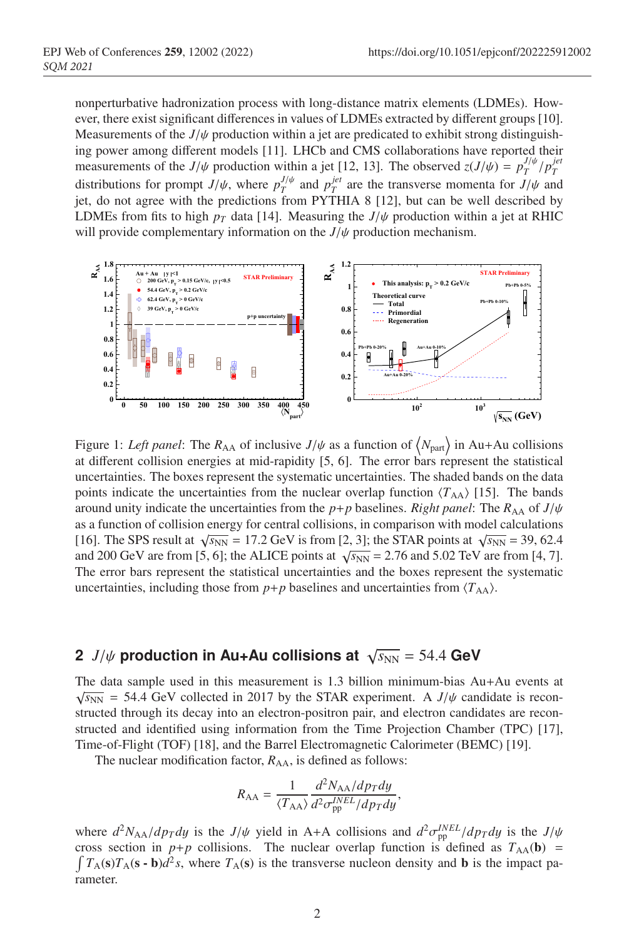nonperturbative hadronization process with long-distance matrix elements (LDMEs). However, there exist significant differences in values of LDMEs extracted by different groups [10]. Measurements of the  $J/\psi$  production within a jet are predicated to exhibit strong distinguishing power among different models [11]. LHCb and CMS collaborations have reported their measurements of the *J*/ $\psi$  production within a jet [12, 13]. The observed  $z(J/\psi) = p_T^{J/\psi}/p_T^{jet}$ distributions for prompt  $J/\psi$ , where  $p_T^{J/\psi}$  and  $p_T^{jet}$  are the transverse momenta for  $J/\psi$  and jet, do not agree with the predictions from PYTHIA 8  $[12]$ , but can be well described by LDMEs from fits to high  $p<sub>T</sub>$  data [14]. Measuring the  $J/\psi$  production within a jet at RHIC will provide complementary information on the *J*/ψ production mechanism.



Figure 1: Left panel: The  $R_{AA}$  of inclusive  $J/\psi$  as a function of  $\langle N_{part} \rangle$  in Au+Au collisions at different collision energies at mid-rapidity [5, 6]. The error bars represent the statistical uncertainties. The boxes represent the systematic uncertainties. The shaded bands on the data points indicate the uncertainties from the nuclear overlap function  $\langle T_{AA} \rangle$  [15]. The bands around unity indicate the uncertainties from the *p*+*p* baselines. *Right panel*: The  $R_{AA}$  of  $J/\psi$ as a function of collision energy for central collisions, in comparison with model calculations [16]. The SPS result at  $\sqrt{s_{NN}}$  = 17.2 GeV is from [2, 3]; the STAR points at  $\sqrt{s_{NN}}$  = 39, 62.4 and 200 GeV are from [5, 6]; the ALICE points at  $\sqrt{s_{NN}}$  = 2.76 and 5.02 TeV are from [4, 7]. The error bars represent the statistical uncertainties and the boxes represent the systematic uncertainties, including those from  $p+p$  baselines and uncertainties from  $\langle T_{AA} \rangle$ .

## **2** *J*/ $\psi$  production in Au+Au collisions at  $\sqrt{s_{NN}}$  = 54.4 GeV

The data sample used in this measurement is 1.3 billion minimum-bias  $Au+Au$  events at  $\sqrt{s_{NN}}$  = 54.4 GeV collected in 2017 by the STAR experiment. A *J*/ $\psi$  candidate is reconstructed through its decay into an electron-positron pair, and electron candidates are reconstructed and identified using information from the Time Projection Chamber (TPC) [17], Time-of-Flight (TOF) [18], and the Barrel Electromagnetic Calorimeter (BEMC) [19].

The nuclear modification factor,  $R_{AA}$ , is defined as follows:

$$
R_{\rm AA} = \frac{1}{\langle T_{\rm AA} \rangle} \frac{d^2 N_{\rm AA} / dp_T dy}{d^2 \sigma_{\rm pp}^{INEL} / dp_T dy},
$$

where  $d^2N_{AA}/dp_T dy$  is the  $J/\psi$  yield in A+A collisions and  $d^2\sigma_{pp}^{INEL}/dp_T dy$  is the  $J/\psi$ cross section in  $p+p$  collisions. The nuclear overlap function is defined as  $T_{AA}(\mathbf{b}) =$  $\int T_A(\mathbf{s})T_A(\mathbf{s}-\mathbf{b})d^2s$ , where  $T_A(\mathbf{s})$  is the transverse nucleon density and **b** is the impact parameter.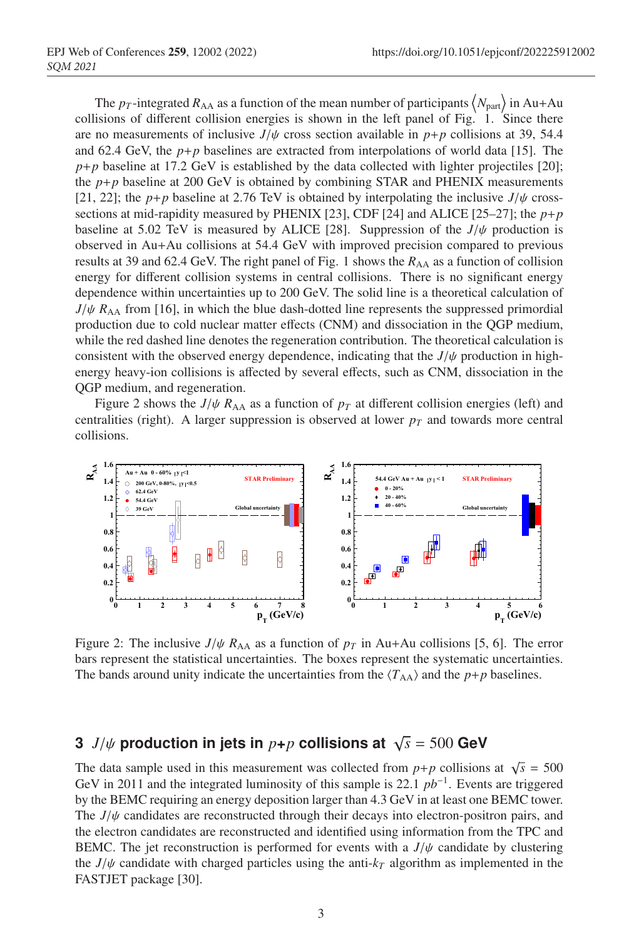The  $p_T$ -integrated  $R_{AA}$  as a function of the mean number of participants  $\langle N_{part} \rangle$  in Au+Au collisions of different collision energies is shown in the left panel of Fig. 1. Since there are no measurements of inclusive  $J/\psi$  cross section available in  $p+p$  collisions at 39, 54.4 and 62.4 GeV, the  $p+p$  baselines are extracted from interpolations of world data [15]. The  $p+p$  baseline at 17.2 GeV is established by the data collected with lighter projectiles [20]; the  $p+p$  baseline at 200 GeV is obtained by combining STAR and PHENIX measurements [21, 22]; the *p*+*p* baseline at 2.76 TeV is obtained by interpolating the inclusive  $J/\psi$  crosssections at mid-rapidity measured by PHENIX [23], CDF [24] and ALICE [25–27]; the  $p+p$ baseline at 5.02 TeV is measured by ALICE [28]. Suppression of the  $J/\psi$  production is <sup>65</sup> observed in Au+Au collisions at 54.4 GeV with improved precision compared to previous results at 39 and 62.4 GeV. The right panel of Fig. 1 shows the  $R_{AA}$  as a function of collision energy for different collision systems in central collisions. There is no significant energy dependence within uncertainties up to 200 GeV. The solid line is a theoretical calculation of  $J/\psi$   $R_{AA}$  from [16], in which the blue dash-dotted line represents the suppressed primordial <sup>70</sup> production due to cold nuclear matter effects (CNM) and dissociation in the QGP medium, while the red dashed line denotes the regeneration contribution. The theoretical calculation is consistent with the observed energy dependence, indicating that the  $J/\psi$  production in high-<sup>73</sup> energy heavy-ion collisions is affected by several effects, such as CNM, dissociation in the QGP medium, and regeneration.

Figure 2 shows the  $J/\psi R_{AA}$  as a function of  $p_T$  at different collision energies (left) and centralities (right). A larger suppression is observed at lower  $p<sub>T</sub>$  and towards more central collisions.



Figure 2: The inclusive  $J/\psi$   $R_{AA}$  as a function of  $p_T$  in Au+Au collisions [5, 6]. The error bars represent the statistical uncertainties. The boxes represent the systematic uncertainties. The bands around unity indicate the uncertainties from the  $\langle T_{AA} \rangle$  and the *p*+*p* baselines.

## **3** *J*/ $\psi$  production in jets in  $p+p$  collisions at  $\sqrt{s} = 500$  GeV

The data sample used in this measurement was collected from  $p+p$  collisions at  $\sqrt{s} = 500$ GeV in 2011 and the integrated luminosity of this sample is 22.1  $pb^{-1}$ . Events are triggered by the BEMC requiring an energy deposition larger than 4.3 GeV in at least one BEMC tower. The  $J/\psi$  candidates are reconstructed through their decays into electron-positron pairs, and <sup>83</sup> the electron candidates are reconstructed and identified using information from the TPC and **BEMC.** The jet reconstruction is performed for events with a  $J/\psi$  candidate by clustering the  $J/\psi$  candidate with charged particles using the anti- $k_T$  algorithm as implemented in the FASTJET package [30].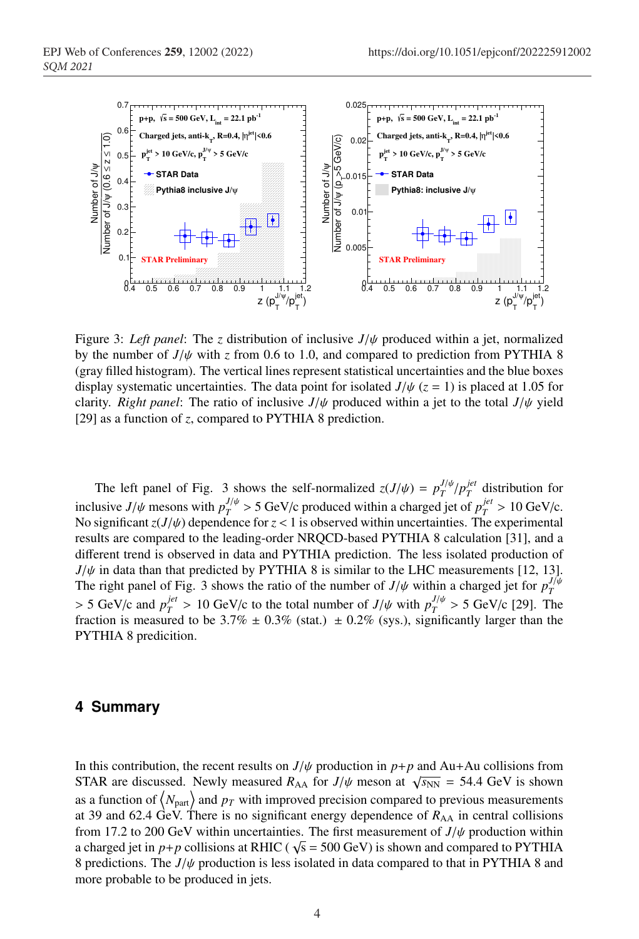

Figure 3: *Left panel*: The *z* distribution of inclusive *J*/ψ produced within a jet, normalized by the number of  $J/\psi$  with *z* from 0.6 to 1.0, and compared to prediction from PYTHIA 8 (gray filled histogram). The vertical lines represent statistical uncertainties and the blue boxes display systematic uncertainties. The data point for isolated  $J/\psi$  ( $z = 1$ ) is placed at 1.05 for clarity. *Right panel*: The ratio of inclusive  $J/\psi$  produced within a jet to the total  $J/\psi$  yield [29] as a function of *z*, compared to PYTHIA 8 prediction.

The left panel of Fig. 3 shows the self-normalized  $z(J/\psi) = p_T^{J/\psi}/p_T^{jet}$  distribution for inclusive *J*/ $\psi$  mesons with  $p_T^{J/\psi} > 5$  GeV/c produced within a charged jet of  $p_T^{jet} > 10$  GeV/c. No significant  $z(J/\psi)$  dependence for  $z < 1$  is observed within uncertainties. The experimental <sup>90</sup> results are compared to the leading-order NRQCD-based PYTHIA 8 calculation [31], and a different trend is observed in data and PYTHIA prediction. The less isolated production of  $J/\psi$  in data than that predicted by PYTHIA 8 is similar to the LHC measurements [12, 13]. The right panel of Fig. 3 shows the ratio of the number of  $J/\psi$  within a charged jet for  $p_T^{J/\psi}$  $>$  5 GeV/c and  $p_T^{jet}$  > 10 GeV/c to the total number of  $J/\psi$  with  $p_T^{J/\psi}$  > 5 GeV/c [29]. The fraction is measured to be 3.7%  $\pm$  0.3% (stat.)  $\pm$  0.2% (sys.), significantly larger than the PYTHIA 8 predicition.

#### <sup>97</sup> **4 Summary**

In this contribution, the recent results on  $J/\psi$  production in  $p+p$  and Au+Au collisions from STAR are discussed. Newly measured  $R_{AA}$  for  $J/\psi$  meson at  $\sqrt{s_{NN}} = 54.4$  GeV is shown as a function of  $\langle N_{\text{part}} \rangle$  and  $p_T$  with improved precision compared to previous measurements at 39 and 62.4 GeV. There is no significant energy dependence of  $R_{AA}$  in central collisions from 17.2 to 200 GeV within uncertainties. The first measurement of  $J/\psi$  production within a charged jet in  $p+p$  collisions at RHIC ( $\sqrt{s} = 500$  GeV) is shown and compared to PYTHIA 8 predictions. The  $J/\psi$  production is less isolated in data compared to that in PYTHIA 8 and more probable to be produced in jets.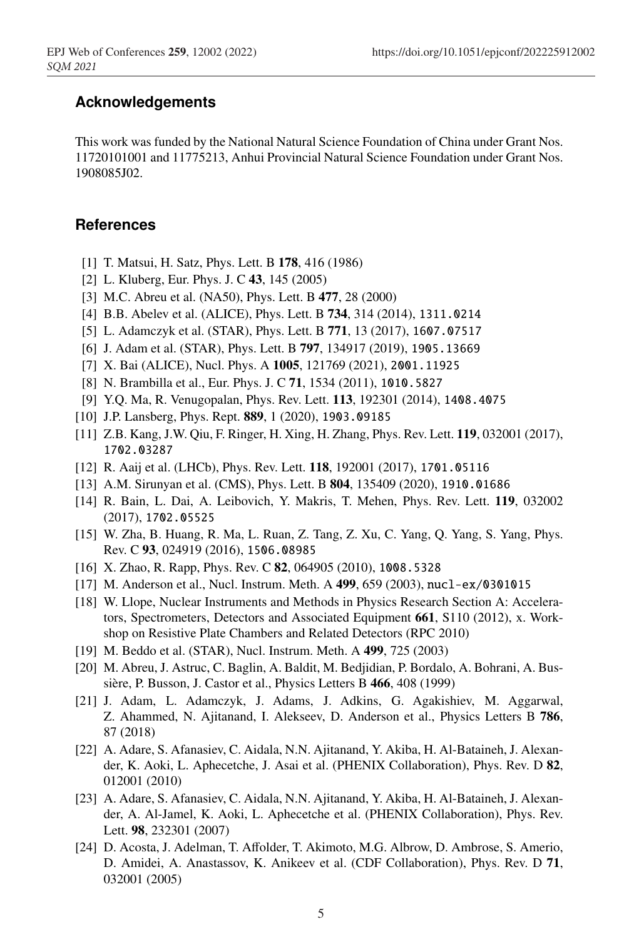## <sup>106</sup> **Acknowledgements**

This work was funded by the National Natural Science Foundation of China under Grant Nos. <sup>108</sup> 11720101001 and 11775213, Anhui Provincial Natural Science Foundation under Grant Nos. <sup>109</sup> 1908085J02.

### **References**

- [1] T. Matsui, H. Satz, Phys. Lett. B 178, 416 (1986)
- [2] L. Kluberg, Eur. Phys. J. C  $43$ , 145 (2005)
- [3] M.C. Abreu et al. (NA50), Phys. Lett. B 477, 28 (2000)
- [4] B.B. Abelev et al. (ALICE), Phys. Lett. B 734, 314 (2014), 1311.0214
- [5] L. Adamczyk et al. (STAR), Phys. Lett. B 771, 13 (2017), 1607.07517
- [6] J. Adam et al. (STAR), Phys. Lett. B 797, 134917 (2019), 1905.13669
- [7] X. Bai (ALICE), Nucl. Phys. A 1005, 121769 (2021), 2001.11925
- [8] N. Brambilla et al., Eur. Phys. J. C 71, 1534 (2011), 1010.5827
- <sup>119</sup> [9] Y.Q. Ma, R. Venugopalan, Phys. Rev. Lett. 113, 192301 (2014), 1408.4075
- [10] J.P. Lansberg, Phys. Rept. 889, 1 (2020), 1903.09185
- [11] Z.B. Kang, J.W. Qiu, F. Ringer, H. Xing, H. Zhang, Phys. Rev. Lett. 119, 032001 (2017), <sup>122</sup> 1702.03287
- [12] R. Aaij et al. (LHCb), Phys. Rev. Lett. 118, 192001 (2017), 1701.05116
- [13] A.M. Sirunyan et al. (CMS), Phys. Lett. B 804, 135409 (2020), 1910.01686
- <sup>125</sup> [14] R. Bain, L. Dai, A. Leibovich, Y. Makris, T. Mehen, Phys. Rev. Lett. 119, 032002 (2017), 1702.05525
- [15] W. Zha, B. Huang, R. Ma, L. Ruan, Z. Tang, Z. Xu, C. Yang, Q. Yang, S. Yang, Phys. Rev. C 93, 024919 (2016), 1506.08985
- [16] X. Zhao, R. Rapp, Phys. Rev. C 82, 064905 (2010), 1008.5328
- <sup>130</sup> [17] M. Anderson et al., Nucl. Instrum. Meth. A 499, 659 (2003), nucl-ex/0301015
- [18] W. Llope, Nuclear Instruments and Methods in Physics Research Section A: Accelerators, Spectrometers, Detectors and Associated Equipment  $661$ , S110 (2012), x. Workshop on Resistive Plate Chambers and Related Detectors (RPC 2010)
- [19] M. Beddo et al. (STAR), Nucl. Instrum. Meth. A 499, 725 (2003)
- <sup>135</sup> [20] M. Abreu, J. Astruc, C. Baglin, A. Baldit, M. Bedjidian, P. Bordalo, A. Bohrani, A. Bussière, P. Busson, J. Castor et al., Physics Letters B 466, 408 (1999)
- <sup>137</sup> [21] J. Adam, L. Adamczyk, J. Adams, J. Adkins, G. Agakishiev, M. Aggarwal, Z. Ahammed, N. Ajitanand, I. Alekseev, D. Anderson et al., Physics Letters B 786, 87 (2018)
- <sup>140</sup> [22] A. Adare, S. Afanasiev, C. Aidala, N.N. Ajitanand, Y. Akiba, H. Al-Bataineh, J. Alexander, K. Aoki, L. Aphecetche, J. Asai et al. (PHENIX Collaboration), Phys. Rev. D 82, 012001 (2010)
- <sup>143</sup> [23] A. Adare, S. Afanasiev, C. Aidala, N.N. Ajitanand, Y. Akiba, H. Al-Bataineh, J. Alexander, A. Al-Jamel, K. Aoki, L. Aphecetche et al. (PHENIX Collaboration), Phys. Rev. Lett. 98, 232301 (2007)
- [24] D. Acosta, J. Adelman, T. Affolder, T. Akimoto, M.G. Albrow, D. Ambrose, S. Amerio, D. Amidei, A. Anastassov, K. Anikeev et al. (CDF Collaboration), Phys. Rev. D 71, 032001 (2005)